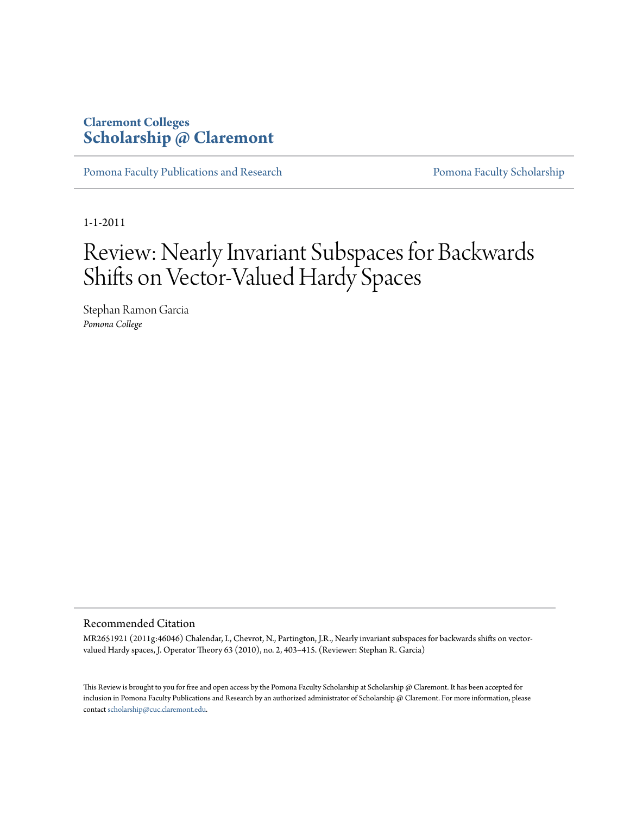### **Claremont Colleges [Scholarship @ Claremont](http://scholarship.claremont.edu)**

[Pomona Faculty Publications and Research](http://scholarship.claremont.edu/pomona_fac_pub) **[Pomona Faculty Scholarship](http://scholarship.claremont.edu/pomona_faculty)** 

1-1-2011

# Review: Nearly Invariant Subspaces for Backwards Shifts on Vector-Valued Hardy Spaces

Stephan Ramon Garcia *Pomona College*

#### Recommended Citation

MR2651921 (2011g:46046) Chalendar, I., Chevrot, N., Partington, J.R., Nearly invariant subspaces for backwards shifts on vectorvalued Hardy spaces, J. Operator Theory 63 (2010), no. 2, 403–415. (Reviewer: Stephan R. Garcia)

This Review is brought to you for free and open access by the Pomona Faculty Scholarship at Scholarship @ Claremont. It has been accepted for inclusion in Pomona Faculty Publications and Research by an authorized administrator of Scholarship @ Claremont. For more information, please contact [scholarship@cuc.claremont.edu](mailto:scholarship@cuc.claremont.edu).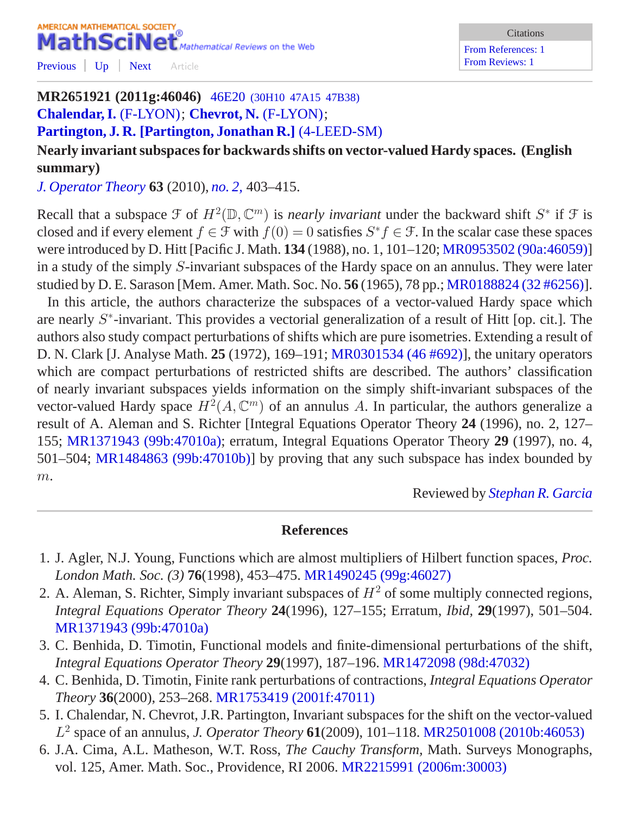### AMERICAN MATHEMATICAL SOCIETY MathSciNet<sup>®</sup> Mathematical Reviews on the Web [Previous](/mathscinet/pdf/2757527.pdf?mx-pid=2651921&pg1=RVRI&pg3=authreviews&s1=726101&vfpref=html&r=4) [Up](/mathscinet/search/publications.html?mx-pid=2651921&pg1=RVRI&pg3=authreviews&s1=726101&vfpref=html&r=1) [Next](/mathscinet/pdf/2640976.pdf?mx-pid=2651921&pg1=RVRI&pg3=authreviews&s1=726101&vfpref=html&r=6) Article

#### Citations

[From References: 1](/mathscinet/search/publications.html?refcit=2651921&loc=refcit) [From Reviews: 1](/mathscinet/search/publications.html?revcit=2651921&loc=revcit)

## **MR2651921 (2011g:46046)** 46E20 [\(30H10 47A15 47B38\)](/mathscinet/search/mscdoc.html?code=46E20%2C%2830H10%2C47A15%2C47B38%29) **[Chalendar, I.](/mathscinet/search/publications.html?pg1=IID&s1=612759)** [\(F-LYON\)](/mathscinet/search/institution.html?code=F_LYON); **[Chevrot, N.](/mathscinet/search/publications.html?pg1=IID&s1=813923)** [\(F-LYON\)](/mathscinet/search/institution.html?code=F_LYON);

**[Partington, J. R.](/mathscinet/search/publications.html?pg1=IID&s1=136415) [\[Partington, Jonathan R.\]](/mathscinet/search/publications.html?pg1=IID&s1=136415)** [\(4-LEED-SM\)](/mathscinet/search/institution.html?code=4_LEED_SM)

**Nearly invariant subspaces for backwards shifts on vector-valued Hardy spaces. (English summary)**

*[J. Operator Theory](/mathscinet/search/journaldoc.html?&cn=J_Operator_Theory)* **63** (2010), *[no. 2,](/mathscinet/search/publications.html?pg1=ISSI&s1=283469)* 403*–*415.

Recall that a subspace  $\mathcal F$  of  $H^2(\mathbb{D}, \mathbb{C}^m)$  is *nearly invariant* under the backward shift  $S^*$  if  $\mathcal F$  is closed and if every element  $f \in \mathcal{F}$  with  $f(0) = 0$  satisfies  $S^* f \in \mathcal{F}$ . In the scalar case these spaces were introduced by D. Hitt [Pacific J. Math. **134** (1988), no. 1, 101–120; [MR0953502 \(90a:46059\)](/mathscinet/pdf/953502.pdf)] in a study of the simply S-invariant subspaces of the Hardy space on an annulus. They were later studied by D. E. Sarason [Mem. Amer. Math. Soc. No. **56** (1965), 78 pp.; [MR0188824 \(32 #6256\)\]](/mathscinet/pdf/188824.pdf).

In this article, the authors characterize the subspaces of a vector-valued Hardy space which are nearly S<sup>\*</sup>-invariant. This provides a vectorial generalization of a result of Hitt [op. cit.]. The authors also study compact perturbations of shifts which are pure isometries. Extending a result of D. N. Clark [J. Analyse Math. **25** (1972), 169–191; [MR0301534 \(46 #692\)\]](/mathscinet/pdf/301534.pdf), the unitary operators which are compact perturbations of restricted shifts are described. The authors' classification of nearly invariant subspaces yields information on the simply shift-invariant subspaces of the vector-valued Hardy space  $H^2(A, \mathbb{C}^m)$  of an annulus A. In particular, the authors generalize a result of A. Aleman and S. Richter [Integral Equations Operator Theory **24** (1996), no. 2, 127– 155; [MR1371943 \(99b:47010a\)](/mathscinet/pdf/1371943.pdf); erratum, Integral Equations Operator Theory **29** (1997), no. 4, 501–504; [MR1484863 \(99b:47010b\)\]](/mathscinet/pdf/1484863.pdf) by proving that any such subspace has index bounded by  $m$ .

Reviewed by *[Stephan R. Garcia](/mathscinet/search/publications.html?pg1=IID&s1=726101)*

#### **References**

- 1. J. Agler, N.J. Young, Functions which are almost multipliers of Hilbert function spaces, *Proc. London Math. Soc. (3)* **76**(1998), 453–475. [MR1490245 \(99g:46027\)](/mathscinet/pdf/1490245.pdf?pg1=MR&s1=99g:46027&loc=fromreflist)
- 2. A. Aleman, S. Richter, Simply invariant subspaces of  $H^2$  of some multiply connected regions, *Integral Equations Operator Theory* **24**(1996), 127–155; Erratum, *Ibid,* **29**(1997), 501–504. [MR1371943 \(99b:47010a\)](/mathscinet/pdf/1371943.pdf?pg1=MR&s1=99b:47010a&loc=fromreflist)
- 3. C. Benhida, D. Timotin, Functional models and finite-dimensional perturbations of the shift, *Integral Equations Operator Theory* **29**(1997), 187–196. [MR1472098 \(98d:47032\)](/mathscinet/pdf/1472098.pdf?pg1=MR&s1=98d:47032&loc=fromreflist)
- 4. C. Benhida, D. Timotin, Finite rank perturbations of contractions, *Integral Equations Operator Theory* **36**(2000), 253–268. [MR1753419 \(2001f:47011\)](/mathscinet/pdf/1753419.pdf?pg1=MR&s1=2001f:47011&loc=fromreflist)
- 5. I. Chalendar, N. Chevrot, J.R. Partington, Invariant subspaces for the shift on the vector-valued L 2 space of an annulus, *J. Operator Theory* **61**(2009), 101–118. [MR2501008 \(2010b:46053\)](/mathscinet/pdf/2501008.pdf?pg1=MR&s1=2010b:46053&loc=fromreflist)
- 6. J.A. Cima, A.L. Matheson, W.T. Ross, *The Cauchy Transform,* Math. Surveys Monographs, vol. 125, Amer. Math. Soc., Providence, RI 2006. [MR2215991 \(2006m:30003\)](/mathscinet/pdf/2215991.pdf?pg1=MR&s1=2006m:30003&loc=fromreflist)